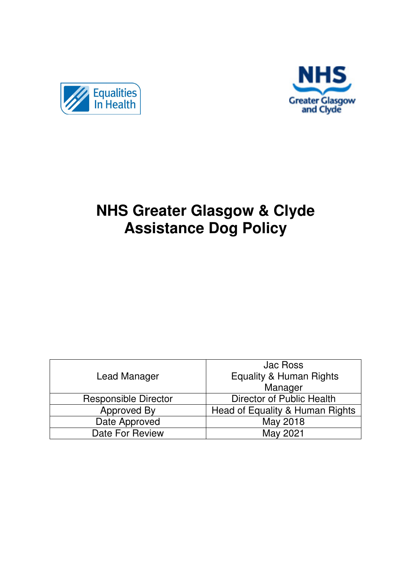



# **NHS Greater Glasgow & Clyde Assistance Dog Policy**

|                             | Jac Ross                           |
|-----------------------------|------------------------------------|
| Lead Manager                | <b>Equality &amp; Human Rights</b> |
|                             | Manager                            |
| <b>Responsible Director</b> | Director of Public Health          |
| Approved By                 | Head of Equality & Human Rights    |
| Date Approved               | May 2018                           |
| Date For Review             | May 2021                           |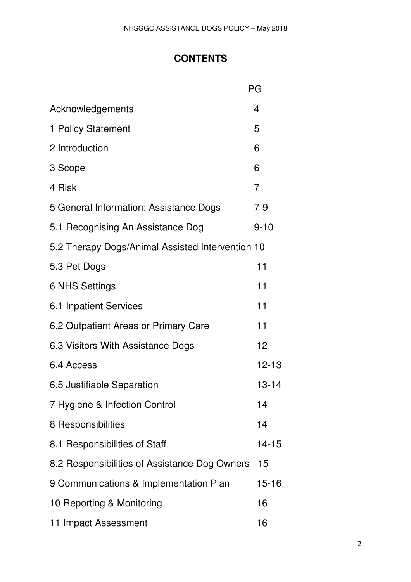# **CONTENTS**

|                                                  | РG        |  |
|--------------------------------------------------|-----------|--|
| Acknowledgements                                 | 4         |  |
| 1 Policy Statement                               | 5         |  |
| 2 Introduction                                   | 6         |  |
| 3 Scope                                          | 6         |  |
| 4 Risk                                           | 7         |  |
| 5 General Information: Assistance Dogs           | 7-9       |  |
| 5.1 Recognising An Assistance Dog                | $9 - 10$  |  |
| 5.2 Therapy Dogs/Animal Assisted Intervention 10 |           |  |
| 5.3 Pet Dogs                                     | 11        |  |
| <b>6 NHS Settings</b>                            | 11        |  |
| 6.1 Inpatient Services                           | 11        |  |
| 6.2 Outpatient Areas or Primary Care             | 11        |  |
| 6.3 Visitors With Assistance Dogs                | 12        |  |
| 6.4 Access                                       | $12 - 13$ |  |
| 6.5 Justifiable Separation                       | $13 - 14$ |  |
| 7 Hygiene & Infection Control                    | 14        |  |
| 8 Responsibilities                               | 14        |  |
| 8.1 Responsibilities of Staff                    | $14 - 15$ |  |
| 8.2 Responsibilities of Assistance Dog Owners    | 15        |  |
| 9 Communications & Implementation Plan           | 15-16     |  |
| 10 Reporting & Monitoring                        | 16        |  |
| 11 Impact Assessment                             | 16        |  |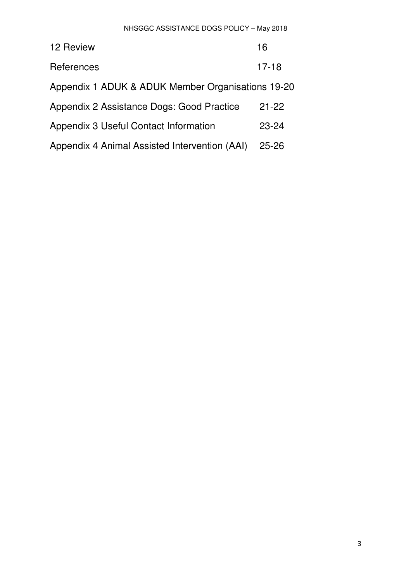| 12 Review                                         | 16        |  |
|---------------------------------------------------|-----------|--|
| References                                        | $17 - 18$ |  |
| Appendix 1 ADUK & ADUK Member Organisations 19-20 |           |  |
| Appendix 2 Assistance Dogs: Good Practice         | $21 - 22$ |  |
| Appendix 3 Useful Contact Information             | $23 - 24$ |  |
| Appendix 4 Animal Assisted Intervention (AAI)     | $25 - 26$ |  |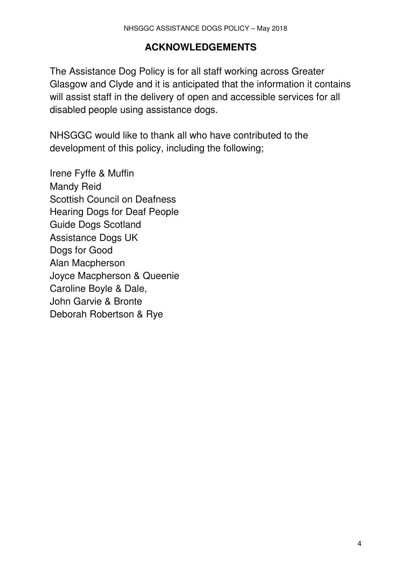## **ACKNOWLEDGEMENTS**

The Assistance Dog Policy is for all staff working across Greater Glasgow and Clyde and it is anticipated that the information it contains will assist staff in the delivery of open and accessible services for all disabled people using assistance dogs.

NHSGGC would like to thank all who have contributed to the development of this policy, including the following;

Irene Fyffe & Muffin Mandy Reid Scottish Council on Deafness Hearing Dogs for Deaf People Guide Dogs Scotland Assistance Dogs UK Dogs for Good Alan Macpherson Joyce Macpherson & Queenie Caroline Boyle & Dale, John Garvie & Bronte Deborah Robertson & Rye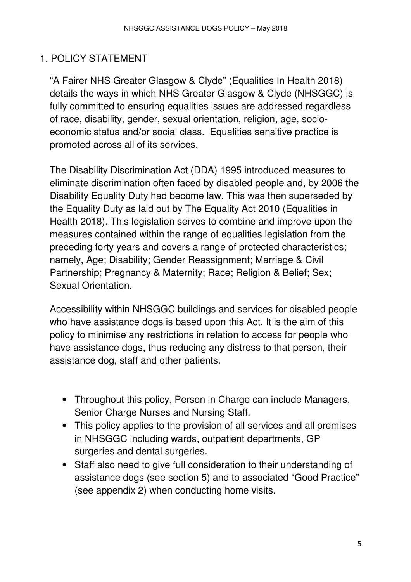# 1. POLICY STATEMENT

"A Fairer NHS Greater Glasgow & Clyde" (Equalities In Health 2018) details the ways in which NHS Greater Glasgow & Clyde (NHSGGC) is fully committed to ensuring equalities issues are addressed regardless of race, disability, gender, sexual orientation, religion, age, socioeconomic status and/or social class. Equalities sensitive practice is promoted across all of its services.

The Disability Discrimination Act (DDA) 1995 introduced measures to eliminate discrimination often faced by disabled people and, by 2006 the Disability Equality Duty had become law. This was then superseded by the Equality Duty as laid out by The Equality Act 2010 (Equalities in Health 2018). This legislation serves to combine and improve upon the measures contained within the range of equalities legislation from the preceding forty years and covers a range of protected characteristics; namely, Age; Disability; Gender Reassignment; Marriage & Civil Partnership; Pregnancy & Maternity; Race; Religion & Belief; Sex; Sexual Orientation.

Accessibility within NHSGGC buildings and services for disabled people who have assistance dogs is based upon this Act. It is the aim of this policy to minimise any restrictions in relation to access for people who have assistance dogs, thus reducing any distress to that person, their assistance dog, staff and other patients.

- Throughout this policy, Person in Charge can include Managers, Senior Charge Nurses and Nursing Staff.
- This policy applies to the provision of all services and all premises in NHSGGC including wards, outpatient departments, GP surgeries and dental surgeries.
- Staff also need to give full consideration to their understanding of assistance dogs (see section 5) and to associated "Good Practice" (see appendix 2) when conducting home visits.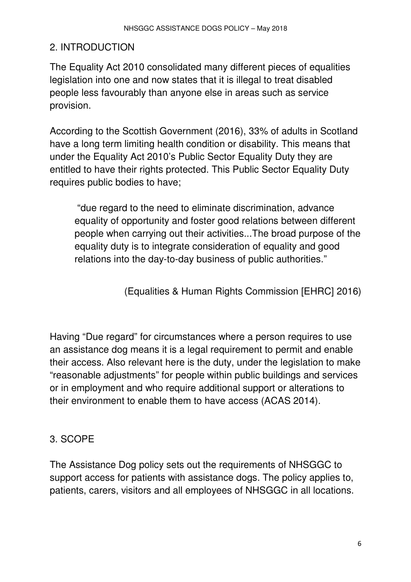# 2. INTRODUCTION

The Equality Act 2010 consolidated many different pieces of equalities legislation into one and now states that it is illegal to treat disabled people less favourably than anyone else in areas such as service provision.

According to the Scottish Government (2016), 33% of adults in Scotland have a long term limiting health condition or disability. This means that under the Equality Act 2010's Public Sector Equality Duty they are entitled to have their rights protected. This Public Sector Equality Duty requires public bodies to have;

 "due regard to the need to eliminate discrimination, advance equality of opportunity and foster good relations between different people when carrying out their activities...The broad purpose of the equality duty is to integrate consideration of equality and good relations into the day-to-day business of public authorities."

(Equalities & Human Rights Commission [EHRC] 2016)

Having "Due regard" for circumstances where a person requires to use an assistance dog means it is a legal requirement to permit and enable their access. Also relevant here is the duty, under the legislation to make "reasonable adjustments" for people within public buildings and services or in employment and who require additional support or alterations to their environment to enable them to have access (ACAS 2014).

# 3. SCOPE

The Assistance Dog policy sets out the requirements of NHSGGC to support access for patients with assistance dogs. The policy applies to, patients, carers, visitors and all employees of NHSGGC in all locations.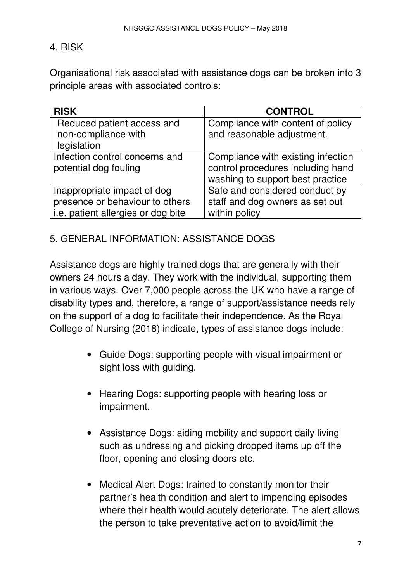## 4. RISK

Organisational risk associated with assistance dogs can be broken into 3 principle areas with associated controls:

| <b>RISK</b>                                             | <b>CONTROL</b>                                                                                              |
|---------------------------------------------------------|-------------------------------------------------------------------------------------------------------------|
| Reduced patient access and<br>non-compliance with       | Compliance with content of policy<br>and reasonable adjustment.                                             |
| legislation                                             |                                                                                                             |
| Infection control concerns and<br>potential dog fouling | Compliance with existing infection<br>control procedures including hand<br>washing to support best practice |
| Inappropriate impact of dog                             | Safe and considered conduct by                                                                              |
| presence or behaviour to others                         | staff and dog owners as set out                                                                             |
| <i>i.e.</i> patient allergies or dog bite               | within policy                                                                                               |

## 5. GENERAL INFORMATION: ASSISTANCE DOGS

Assistance dogs are highly trained dogs that are generally with their owners 24 hours a day. They work with the individual, supporting them in various ways. Over 7,000 people across the UK who have a range of disability types and, therefore, a range of support/assistance needs rely on the support of a dog to facilitate their independence. As the Royal College of Nursing (2018) indicate, types of assistance dogs include:

- Guide Dogs: supporting people with visual impairment or sight loss with guiding.
- Hearing Dogs: supporting people with hearing loss or impairment.
- Assistance Dogs: aiding mobility and support daily living such as undressing and picking dropped items up off the floor, opening and closing doors etc.
- Medical Alert Dogs: trained to constantly monitor their partner's health condition and alert to impending episodes where their health would acutely deteriorate. The alert allows the person to take preventative action to avoid/limit the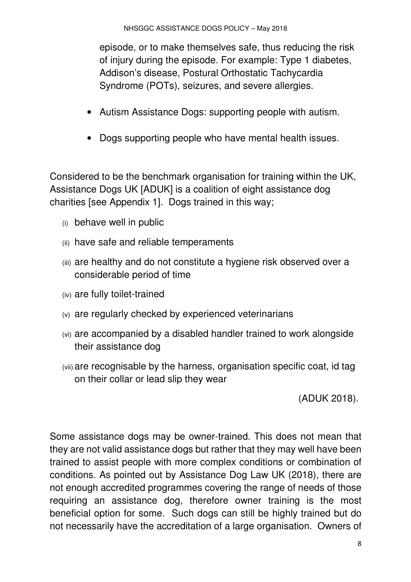episode, or to make themselves safe, thus reducing the risk of injury during the episode. For example: Type 1 diabetes, Addison's disease, Postural Orthostatic Tachycardia Syndrome (POTs), seizures, and severe allergies.

- Autism Assistance Dogs: supporting people with autism.
- Dogs supporting people who have mental health issues.

Considered to be the benchmark organisation for training within the UK, Assistance Dogs UK [ADUK] is a coalition of eight assistance dog charities [see Appendix 1]. Dogs trained in this way;

- (i) behave well in public
- (ii) have safe and reliable temperaments
- (iii) are healthy and do not constitute a hygiene risk observed over a considerable period of time
- (iv) are fully toilet-trained
- (v) are regularly checked by experienced veterinarians
- (vi) are accompanied by a disabled handler trained to work alongside their assistance dog
- (vii) are recognisable by the harness, organisation specific coat, id tag on their collar or lead slip they wear

(ADUK 2018).

Some assistance dogs may be owner-trained. This does not mean that they are not valid assistance dogs but rather that they may well have been trained to assist people with more complex conditions or combination of conditions. As pointed out by Assistance Dog Law UK (2018), there are not enough accredited programmes covering the range of needs of those requiring an assistance dog, therefore owner training is the most beneficial option for some. Such dogs can still be highly trained but do not necessarily have the accreditation of a large organisation. Owners of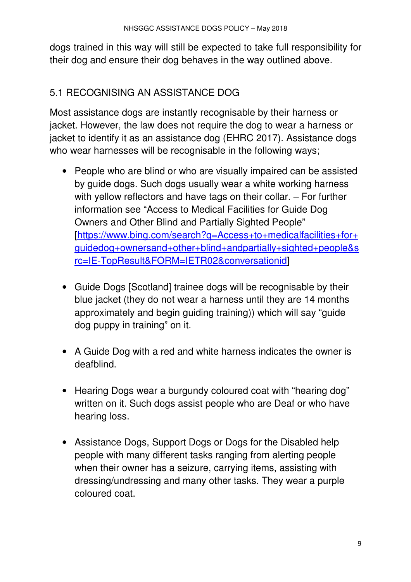dogs trained in this way will still be expected to take full responsibility for their dog and ensure their dog behaves in the way outlined above.

# 5.1 RECOGNISING AN ASSISTANCE DOG

Most assistance dogs are instantly recognisable by their harness or jacket. However, the law does not require the dog to wear a harness or jacket to identify it as an assistance dog (EHRC 2017). Assistance dogs who wear harnesses will be recognisable in the following ways;

- People who are blind or who are visually impaired can be assisted by guide dogs. Such dogs usually wear a white working harness with yellow reflectors and have tags on their collar. – For further information see "Access to Medical Facilities for Guide Dog Owners and Other Blind and Partially Sighted People" [https://www.bing.com/search?q=Access+to+medicalfacilities+for+ guidedog+ownersand+other+blind+andpartially+sighted+people&s rc=IE-TopResult&FORM=IETR02&conversationid]
- Guide Dogs [Scotland] trainee dogs will be recognisable by their blue jacket (they do not wear a harness until they are 14 months approximately and begin guiding training)) which will say "guide dog puppy in training" on it.
- A Guide Dog with a red and white harness indicates the owner is deafblind.
- Hearing Dogs wear a burgundy coloured coat with "hearing dog" written on it. Such dogs assist people who are Deaf or who have hearing loss.
- Assistance Dogs, Support Dogs or Dogs for the Disabled help people with many different tasks ranging from alerting people when their owner has a seizure, carrying items, assisting with dressing/undressing and many other tasks. They wear a purple coloured coat.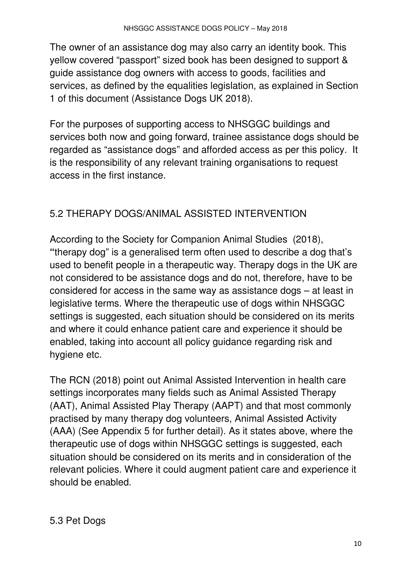The owner of an assistance dog may also carry an identity book. This yellow covered "passport" sized book has been designed to support & guide assistance dog owners with access to goods, facilities and services, as defined by the equalities legislation, as explained in Section 1 of this document (Assistance Dogs UK 2018).

For the purposes of supporting access to NHSGGC buildings and services both now and going forward, trainee assistance dogs should be regarded as "assistance dogs" and afforded access as per this policy. It is the responsibility of any relevant training organisations to request access in the first instance.

# 5.2 THERAPY DOGS/ANIMAL ASSISTED INTERVENTION

According to the Society for Companion Animal Studies (2018), **"**therapy dog" is a generalised term often used to describe a dog that's used to benefit people in a therapeutic way. Therapy dogs in the UK are not considered to be assistance dogs and do not, therefore, have to be considered for access in the same way as assistance dogs – at least in legislative terms. Where the therapeutic use of dogs within NHSGGC settings is suggested, each situation should be considered on its merits and where it could enhance patient care and experience it should be enabled, taking into account all policy guidance regarding risk and hygiene etc.

The RCN (2018) point out Animal Assisted Intervention in health care settings incorporates many fields such as Animal Assisted Therapy (AAT), Animal Assisted Play Therapy (AAPT) and that most commonly practised by many therapy dog volunteers, Animal Assisted Activity (AAA) (See Appendix 5 for further detail). As it states above, where the therapeutic use of dogs within NHSGGC settings is suggested, each situation should be considered on its merits and in consideration of the relevant policies. Where it could augment patient care and experience it should be enabled.

## 5.3 Pet Dogs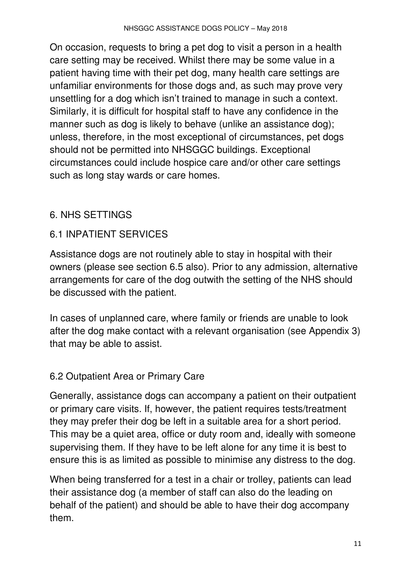On occasion, requests to bring a pet dog to visit a person in a health care setting may be received. Whilst there may be some value in a patient having time with their pet dog, many health care settings are unfamiliar environments for those dogs and, as such may prove very unsettling for a dog which isn't trained to manage in such a context. Similarly, it is difficult for hospital staff to have any confidence in the manner such as dog is likely to behave (unlike an assistance dog); unless, therefore, in the most exceptional of circumstances, pet dogs should not be permitted into NHSGGC buildings. Exceptional circumstances could include hospice care and/or other care settings such as long stay wards or care homes.

# 6. NHS SETTINGS

# 6.1 INPATIENT SERVICES

Assistance dogs are not routinely able to stay in hospital with their owners (please see section 6.5 also). Prior to any admission, alternative arrangements for care of the dog outwith the setting of the NHS should be discussed with the patient.

In cases of unplanned care, where family or friends are unable to look after the dog make contact with a relevant organisation (see Appendix 3) that may be able to assist.

## 6.2 Outpatient Area or Primary Care

Generally, assistance dogs can accompany a patient on their outpatient or primary care visits. If, however, the patient requires tests/treatment they may prefer their dog be left in a suitable area for a short period. This may be a quiet area, office or duty room and, ideally with someone supervising them. If they have to be left alone for any time it is best to ensure this is as limited as possible to minimise any distress to the dog.

When being transferred for a test in a chair or trolley, patients can lead their assistance dog (a member of staff can also do the leading on behalf of the patient) and should be able to have their dog accompany them.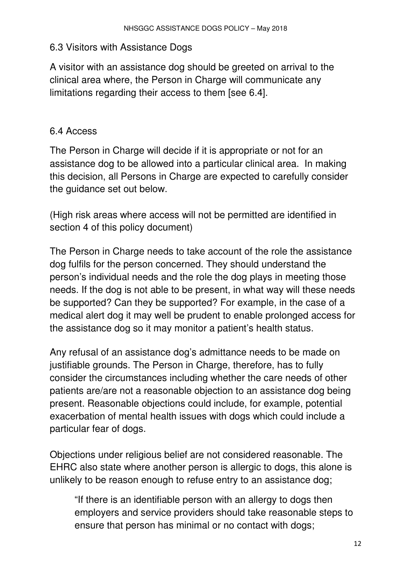### 6.3 Visitors with Assistance Dogs

A visitor with an assistance dog should be greeted on arrival to the clinical area where, the Person in Charge will communicate any limitations regarding their access to them [see 6.4].

## 6.4 Access

The Person in Charge will decide if it is appropriate or not for an assistance dog to be allowed into a particular clinical area. In making this decision, all Persons in Charge are expected to carefully consider the guidance set out below.

(High risk areas where access will not be permitted are identified in section 4 of this policy document)

The Person in Charge needs to take account of the role the assistance dog fulfils for the person concerned. They should understand the person's individual needs and the role the dog plays in meeting those needs. If the dog is not able to be present, in what way will these needs be supported? Can they be supported? For example, in the case of a medical alert dog it may well be prudent to enable prolonged access for the assistance dog so it may monitor a patient's health status.

Any refusal of an assistance dog's admittance needs to be made on justifiable grounds. The Person in Charge, therefore, has to fully consider the circumstances including whether the care needs of other patients are/are not a reasonable objection to an assistance dog being present. Reasonable objections could include, for example, potential exacerbation of mental health issues with dogs which could include a particular fear of dogs.

Objections under religious belief are not considered reasonable. The EHRC also state where another person is allergic to dogs, this alone is unlikely to be reason enough to refuse entry to an assistance dog;

"If there is an identifiable person with an allergy to dogs then employers and service providers should take reasonable steps to ensure that person has minimal or no contact with dogs;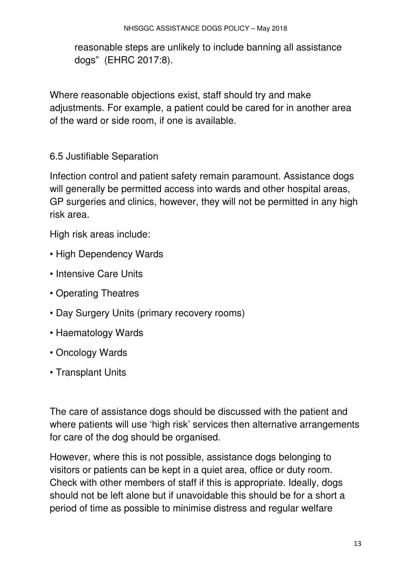reasonable steps are unlikely to include banning all assistance dogs" (EHRC 2017:8).

Where reasonable objections exist, staff should try and make adjustments. For example, a patient could be cared for in another area of the ward or side room, if one is available.

## 6.5 Justifiable Separation

Infection control and patient safety remain paramount. Assistance dogs will generally be permitted access into wards and other hospital areas, GP surgeries and clinics, however, they will not be permitted in any high risk area.

High risk areas include:

- High Dependency Wards
- Intensive Care Units
- Operating Theatres
- Day Surgery Units (primary recovery rooms)
- Haematology Wards
- Oncology Wards
- Transplant Units

The care of assistance dogs should be discussed with the patient and where patients will use 'high risk' services then alternative arrangements for care of the dog should be organised.

However, where this is not possible, assistance dogs belonging to visitors or patients can be kept in a quiet area, office or duty room. Check with other members of staff if this is appropriate. Ideally, dogs should not be left alone but if unavoidable this should be for a short a period of time as possible to minimise distress and regular welfare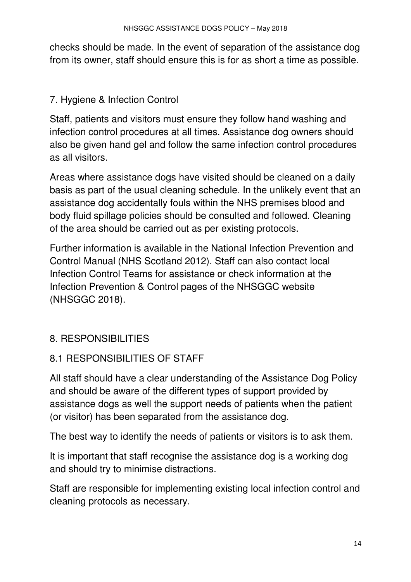checks should be made. In the event of separation of the assistance dog from its owner, staff should ensure this is for as short a time as possible.

# 7. Hygiene & Infection Control

Staff, patients and visitors must ensure they follow hand washing and infection control procedures at all times. Assistance dog owners should also be given hand gel and follow the same infection control procedures as all visitors.

Areas where assistance dogs have visited should be cleaned on a daily basis as part of the usual cleaning schedule. In the unlikely event that an assistance dog accidentally fouls within the NHS premises blood and body fluid spillage policies should be consulted and followed. Cleaning of the area should be carried out as per existing protocols.

Further information is available in the National Infection Prevention and Control Manual (NHS Scotland 2012). Staff can also contact local Infection Control Teams for assistance or check information at the Infection Prevention & Control pages of the NHSGGC website (NHSGGC 2018).

# 8. RESPONSIBILITIES

# 8.1 RESPONSIBILITIES OF STAFF

All staff should have a clear understanding of the Assistance Dog Policy and should be aware of the different types of support provided by assistance dogs as well the support needs of patients when the patient (or visitor) has been separated from the assistance dog.

The best way to identify the needs of patients or visitors is to ask them.

It is important that staff recognise the assistance dog is a working dog and should try to minimise distractions.

Staff are responsible for implementing existing local infection control and cleaning protocols as necessary.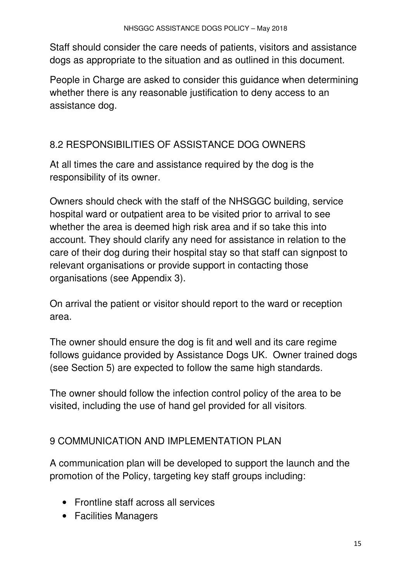Staff should consider the care needs of patients, visitors and assistance dogs as appropriate to the situation and as outlined in this document.

People in Charge are asked to consider this guidance when determining whether there is any reasonable justification to deny access to an assistance dog.

# 8.2 RESPONSIBILITIES OF ASSISTANCE DOG OWNERS

At all times the care and assistance required by the dog is the responsibility of its owner.

Owners should check with the staff of the NHSGGC building, service hospital ward or outpatient area to be visited prior to arrival to see whether the area is deemed high risk area and if so take this into account. They should clarify any need for assistance in relation to the care of their dog during their hospital stay so that staff can signpost to relevant organisations or provide support in contacting those organisations (see Appendix 3).

On arrival the patient or visitor should report to the ward or reception area.

The owner should ensure the dog is fit and well and its care regime follows guidance provided by Assistance Dogs UK. Owner trained dogs (see Section 5) are expected to follow the same high standards.

The owner should follow the infection control policy of the area to be visited, including the use of hand gel provided for all visitors.

# 9 COMMUNICATION AND IMPLEMENTATION PLAN

A communication plan will be developed to support the launch and the promotion of the Policy, targeting key staff groups including:

- Frontline staff across all services
- Facilities Managers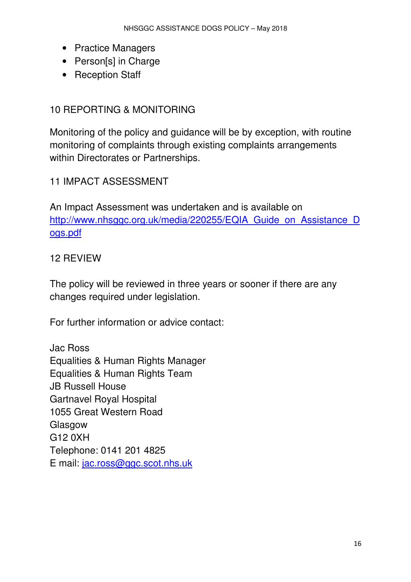- Practice Managers
- Person[s] in Charge
- Reception Staff

## 10 REPORTING & MONITORING

Monitoring of the policy and guidance will be by exception, with routine monitoring of complaints through existing complaints arrangements within Directorates or Partnerships.

## 11 IMPACT ASSESSMENT

An Impact Assessment was undertaken and is available on http://www.nhsggc.org.uk/media/220255/EQIA\_Guide\_on\_Assistance\_D ogs.pdf

#### 12 REVIEW

The policy will be reviewed in three years or sooner if there are any changes required under legislation.

For further information or advice contact:

Jac Ross Equalities & Human Rights Manager Equalities & Human Rights Team JB Russell House Gartnavel Royal Hospital 1055 Great Western Road Glasgow G12 0XH Telephone: 0141 201 4825 E mail: jac.ross@ggc.scot.nhs.uk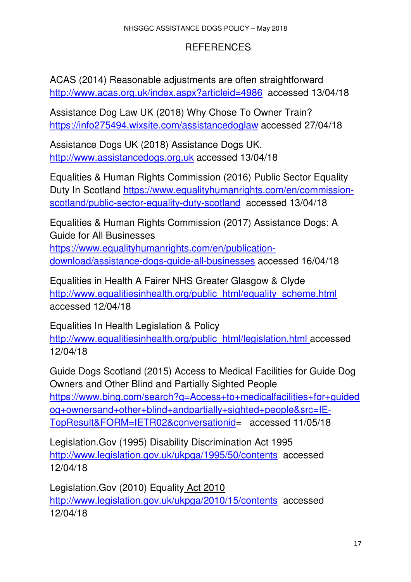## REFERENCES

ACAS (2014) Reasonable adjustments are often straightforward http://www.acas.org.uk/index.aspx?articleid=4986 accessed 13/04/18

Assistance Dog Law UK (2018) Why Chose To Owner Train? https://info275494.wixsite.com/assistancedoglaw accessed 27/04/18

Assistance Dogs UK (2018) Assistance Dogs UK. http://www.assistancedogs.org.uk accessed 13/04/18

Equalities & Human Rights Commission (2016) Public Sector Equality Duty In Scotland https://www.equalityhumanrights.com/en/commissionscotland/public-sector-equality-duty-scotland accessed 13/04/18

Equalities & Human Rights Commission (2017) Assistance Dogs: A Guide for All Businesses https://www.equalityhumanrights.com/en/publicationdownload/assistance-dogs-guide-all-businesses accessed 16/04/18

Equalities in Health A Fairer NHS Greater Glasgow & Clyde http://www.equalitiesinhealth.org/public\_html/equality\_scheme.html accessed 12/04/18

Equalities In Health Legislation & Policy http://www.equalitiesinhealth.org/public\_html/legislation.html accessed 12/04/18

Guide Dogs Scotland (2015) Access to Medical Facilities for Guide Dog Owners and Other Blind and Partially Sighted People https://www.bing.com/search?q=Access+to+medicalfacilities+for+guided og+ownersand+other+blind+andpartially+sighted+people&src=IE-TopResult&FORM=IETR02&conversationid= accessed 11/05/18

Legislation.Gov (1995) Disability Discrimination Act 1995 http://www.legislation.gov.uk/ukpga/1995/50/contents accessed 12/04/18

Legislation.Gov (2010) Equality Act 2010 http://www.legislation.gov.uk/ukpga/2010/15/contents accessed 12/04/18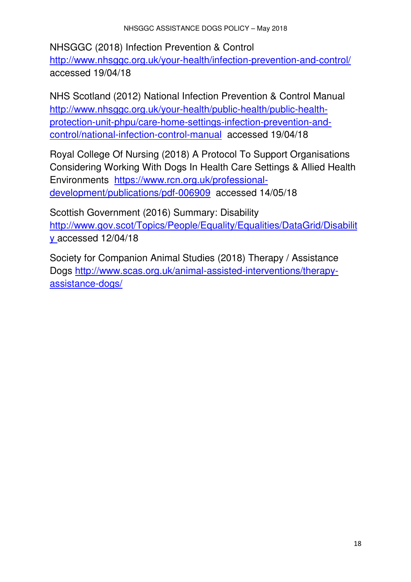NHSGGC (2018) Infection Prevention & Control http://www.nhsqqc.org.uk/your-health/infection-prevention-and-control/ accessed 19/04/18

NHS Scotland (2012) National Infection Prevention & Control Manual http://www.nhsggc.org.uk/your-health/public-health/public-healthprotection-unit-phpu/care-home-settings-infection-prevention-andcontrol/national-infection-control-manual accessed 19/04/18

Royal College Of Nursing (2018) A Protocol To Support Organisations Considering Working With Dogs In Health Care Settings & Allied Health Environments https://www.rcn.org.uk/professionaldevelopment/publications/pdf-006909 accessed 14/05/18

Scottish Government (2016) Summary: Disability http://www.gov.scot/Topics/People/Equality/Equalities/DataGrid/Disabilit y accessed 12/04/18

Society for Companion Animal Studies (2018) Therapy / Assistance Dogs http://www.scas.org.uk/animal-assisted-interventions/therapyassistance-dogs/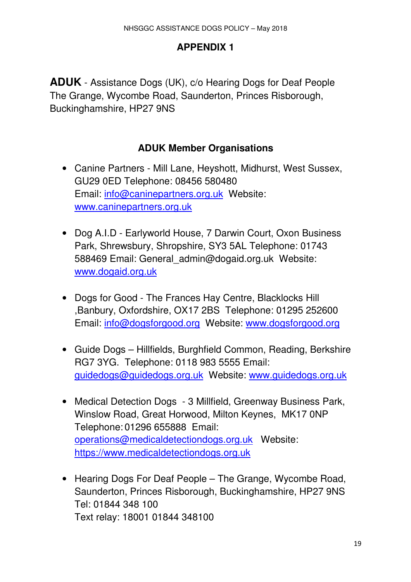# **APPENDIX 1**

**ADUK** - Assistance Dogs (UK), c/o Hearing Dogs for Deaf People The Grange, Wycombe Road, Saunderton, Princes Risborough, Buckinghamshire, HP27 9NS

# **ADUK Member Organisations**

- Canine Partners Mill Lane, Heyshott, Midhurst, West Sussex, GU29 0ED Telephone: 08456 580480 Email: info@caninepartners.org.uk Website: www.caninepartners.org.uk
- Dog A.I.D Earlyworld House, 7 Darwin Court, Oxon Business Park, Shrewsbury, Shropshire, SY3 5AL Telephone: 01743 588469 Email: General admin@dogaid.org.uk Website: www.dogaid.org.uk
- Dogs for Good The Frances Hay Centre, Blacklocks Hill ,Banbury, Oxfordshire, OX17 2BS Telephone: 01295 252600 Email: info@dogsforgood.org Website: www.dogsforgood.org
- Guide Dogs Hillfields, Burghfield Common, Reading, Berkshire RG7 3YG. Telephone: 0118 983 5555 Email: guidedogs@guidedogs.org.uk Website: www.guidedogs.org.uk
- Medical Detection Dogs 3 Millfield, Greenway Business Park, Winslow Road, Great Horwood, Milton Keynes, MK17 0NP Telephone: 01296 655888 Email: operations@medicaldetectiondogs.org.uk Website: https://www.medicaldetectiondogs.org.uk
- Hearing Dogs For Deaf People The Grange, Wycombe Road, Saunderton, Princes Risborough, Buckinghamshire, HP27 9NS Tel: 01844 348 100 Text relay: 18001 01844 348100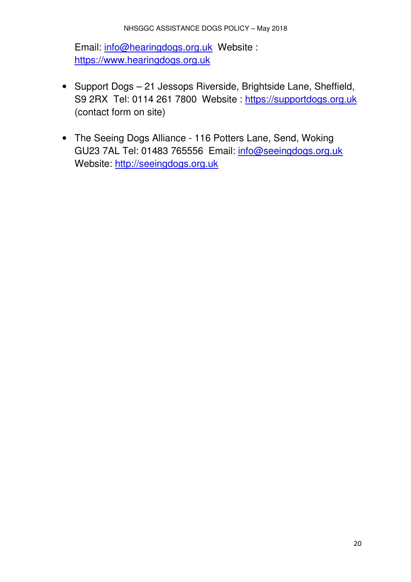Email: info@hearingdogs.org.uk Website : https://www.hearingdogs.org.uk

- Support Dogs 21 Jessops Riverside, Brightside Lane, Sheffield, S9 2RX Tel: 0114 261 7800 Website : https://supportdogs.org.uk (contact form on site)
- The Seeing Dogs Alliance 116 Potters Lane, Send, Woking GU23 7AL Tel: 01483 765556 Email: info@seeingdogs.org.uk Website: http://seeingdogs.org.uk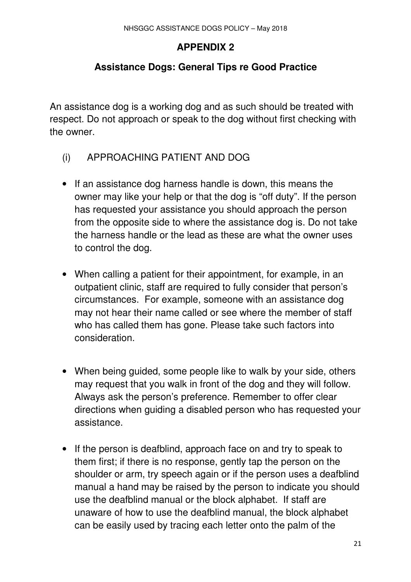## **APPENDIX 2**

## **Assistance Dogs: General Tips re Good Practice**

An assistance dog is a working dog and as such should be treated with respect. Do not approach or speak to the dog without first checking with the owner.

- (i) APPROACHING PATIENT AND DOG
- If an assistance dog harness handle is down, this means the owner may like your help or that the dog is "off duty". If the person has requested your assistance you should approach the person from the opposite side to where the assistance dog is. Do not take the harness handle or the lead as these are what the owner uses to control the dog.
- When calling a patient for their appointment, for example, in an outpatient clinic, staff are required to fully consider that person's circumstances. For example, someone with an assistance dog may not hear their name called or see where the member of staff who has called them has gone. Please take such factors into consideration.
- When being guided, some people like to walk by your side, others may request that you walk in front of the dog and they will follow. Always ask the person's preference. Remember to offer clear directions when guiding a disabled person who has requested your assistance.
- If the person is deafblind, approach face on and try to speak to them first; if there is no response, gently tap the person on the shoulder or arm, try speech again or if the person uses a deafblind manual a hand may be raised by the person to indicate you should use the deafblind manual or the block alphabet. If staff are unaware of how to use the deafblind manual, the block alphabet can be easily used by tracing each letter onto the palm of the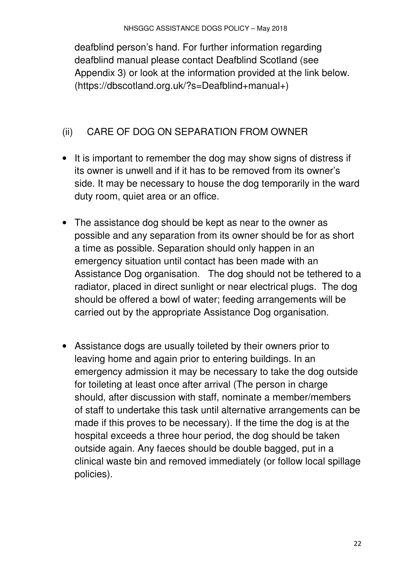deafblind person's hand. For further information regarding deafblind manual please contact Deafblind Scotland (see Appendix 3) or look at the information provided at the link below. (https://dbscotland.org.uk/?s=Deafblind+manual+)

# (ii) CARE OF DOG ON SEPARATION FROM OWNER

- It is important to remember the dog may show signs of distress if its owner is unwell and if it has to be removed from its owner's side. It may be necessary to house the dog temporarily in the ward duty room, quiet area or an office.
- The assistance dog should be kept as near to the owner as possible and any separation from its owner should be for as short a time as possible. Separation should only happen in an emergency situation until contact has been made with an Assistance Dog organisation. The dog should not be tethered to a radiator, placed in direct sunlight or near electrical plugs. The dog should be offered a bowl of water; feeding arrangements will be carried out by the appropriate Assistance Dog organisation.
- Assistance dogs are usually toileted by their owners prior to leaving home and again prior to entering buildings. In an emergency admission it may be necessary to take the dog outside for toileting at least once after arrival (The person in charge should, after discussion with staff, nominate a member/members of staff to undertake this task until alternative arrangements can be made if this proves to be necessary). If the time the dog is at the hospital exceeds a three hour period, the dog should be taken outside again. Any faeces should be double bagged, put in a clinical waste bin and removed immediately (or follow local spillage policies).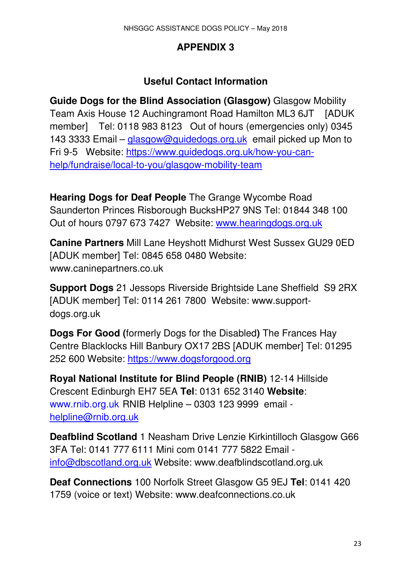## **APPENDIX 3**

## **Useful Contact Information**

**Guide Dogs for the Blind Association (Glasgow)** Glasgow Mobility Team Axis House 12 Auchingramont Road Hamilton ML3 6JT [ADUK member] Tel: 0118 983 8123 Out of hours (emergencies only) 0345 143 3333 Email – glasgow@guidedogs.org.uk email picked up Mon to Fri 9-5 Website: https://www.guidedogs.org.uk/how-you-canhelp/fundraise/local-to-you/glasgow-mobility-team

**Hearing Dogs for Deaf People** The Grange Wycombe Road Saunderton Princes Risborough BucksHP27 9NS Tel: 01844 348 100 Out of hours 0797 673 7427 Website: www.hearingdogs.org.uk

**Canine Partners** Mill Lane Heyshott Midhurst West Sussex GU29 0ED [ADUK member] Tel: 0845 658 0480 Website: www.caninepartners.co.uk

**Support Dogs** 21 Jessops Riverside Brightside Lane Sheffield S9 2RX [ADUK member] Tel: 0114 261 7800 Website: www.supportdogs.org.uk

**Dogs For Good (**formerly Dogs for the Disabled**)** The Frances Hay Centre Blacklocks Hill Banbury OX17 2BS [ADUK member] Tel: 01295 252 600 Website: https://www.dogsforgood.org

**Royal National Institute for Blind People (RNIB)** 12-14 Hillside Crescent Edinburgh EH7 5EA **Tel**: 0131 652 3140 **Website**: www.rnib.org.uk RNIB Helpline – 0303 123 9999 email helpline@rnib.org.uk

**Deafblind Scotland** 1 Neasham Drive Lenzie Kirkintilloch Glasgow G66 3FA Tel: 0141 777 6111 Mini com 0141 777 5822 Email info@dbscotland.org.uk Website: www.deafblindscotland.org.uk

**Deaf Connections** 100 Norfolk Street Glasgow G5 9EJ **Tel**: 0141 420 1759 (voice or text) Website: www.deafconnections.co.uk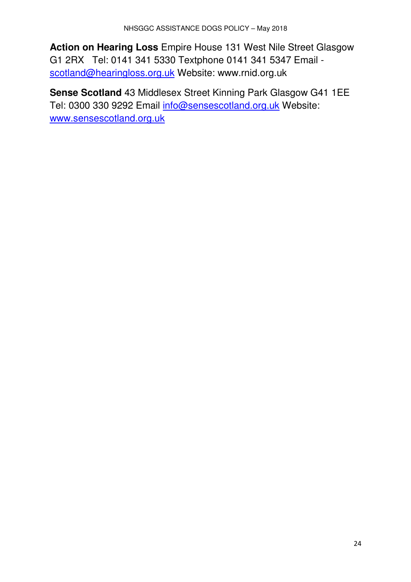**Action on Hearing Loss** Empire House 131 West Nile Street Glasgow G1 2RX Tel: 0141 341 5330 Textphone 0141 341 5347 Email scotland@hearingloss.org.uk Website: www.rnid.org.uk

**Sense Scotland** 43 Middlesex Street Kinning Park Glasgow G41 1EE Tel: 0300 330 9292 Email info@sensescotland.org.uk Website: www.sensescotland.org.uk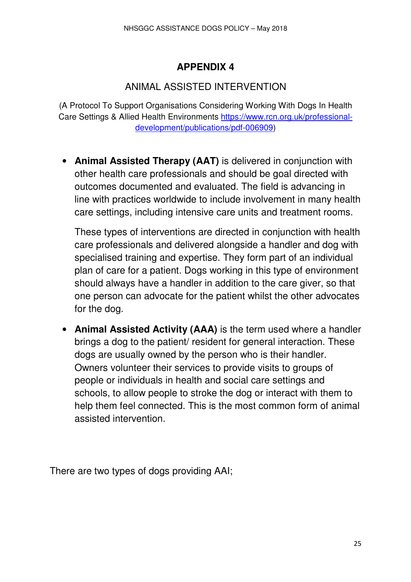# **APPENDIX 4**

# ANIMAL ASSISTED INTERVENTION

(A Protocol To Support Organisations Considering Working With Dogs In Health Care Settings & Allied Health Environments https://www.rcn.org.uk/professionaldevelopment/publications/pdf-006909)

• **Animal Assisted Therapy (AAT)** is delivered in conjunction with other health care professionals and should be goal directed with outcomes documented and evaluated. The field is advancing in line with practices worldwide to include involvement in many health care settings, including intensive care units and treatment rooms.

These types of interventions are directed in conjunction with health care professionals and delivered alongside a handler and dog with specialised training and expertise. They form part of an individual plan of care for a patient. Dogs working in this type of environment should always have a handler in addition to the care giver, so that one person can advocate for the patient whilst the other advocates for the dog.

• **Animal Assisted Activity (AAA)** is the term used where a handler brings a dog to the patient/ resident for general interaction. These dogs are usually owned by the person who is their handler. Owners volunteer their services to provide visits to groups of people or individuals in health and social care settings and schools, to allow people to stroke the dog or interact with them to help them feel connected. This is the most common form of animal assisted intervention.

There are two types of dogs providing AAI;